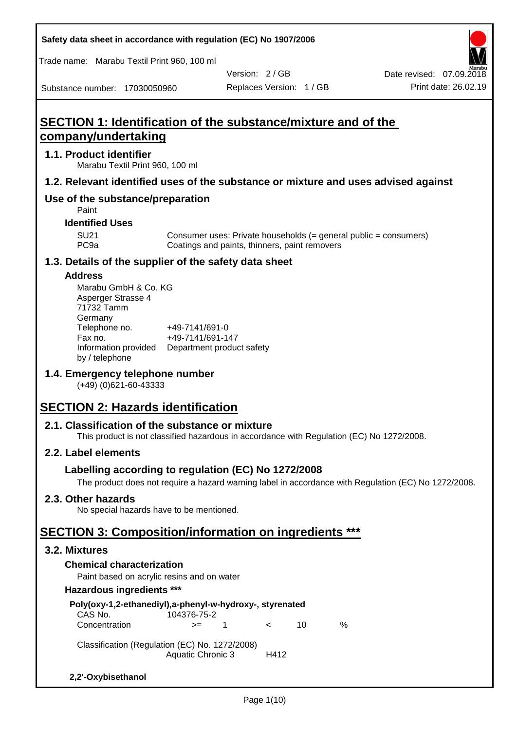Trade name: Marabu Textil Print 960, 100 ml

Substance number: 17030050960

Version: 2 / GB

# **SECTION 1: Identification of the substance/mixture and of the company/undertaking**

#### **1.1. Product identifier**

Marabu Textil Print 960, 100 ml

## **1.2. Relevant identified uses of the substance or mixture and uses advised against**

## **Use of the substance/preparation**

Paint

#### **Identified Uses**

SU21 Consumer uses: Private households (= general public = consumers)<br>PC9a Coatings and paints, thinners, paint removers Coatings and paints, thinners, paint removers

## **1.3. Details of the supplier of the safety data sheet**

#### **Address**

| Marabu GmbH & Co. KG |                           |  |  |  |  |  |
|----------------------|---------------------------|--|--|--|--|--|
| Asperger Strasse 4   |                           |  |  |  |  |  |
| 71732 Tamm           |                           |  |  |  |  |  |
| Germany              |                           |  |  |  |  |  |
| Telephone no.        | +49-7141/691-0            |  |  |  |  |  |
| Fax no.              | +49-7141/691-147          |  |  |  |  |  |
| Information provided | Department product safety |  |  |  |  |  |
| by / telephone       |                           |  |  |  |  |  |

## **1.4. Emergency telephone number**

(+49) (0)621-60-43333

# **SECTION 2: Hazards identification**

## **2.1. Classification of the substance or mixture**

This product is not classified hazardous in accordance with Regulation (EC) No 1272/2008.

## **2.2. Label elements**

## **Labelling according to regulation (EC) No 1272/2008**

The product does not require a hazard warning label in accordance with Regulation (EC) No 1272/2008.

## **2.3. Other hazards**

No special hazards have to be mentioned.

# **SECTION 3: Composition/information on ingredients \*\*\***

#### **3.2. Mixtures**

## **Chemical characterization**

Paint based on acrylic resins and on water

#### **Hazardous ingredients \*\*\***

| Poly(oxy-1,2-ethanediyl),a-phenyl-w-hydroxy-, styrenated<br>CAS No. | 104376-75-2              |             |            |    |   |
|---------------------------------------------------------------------|--------------------------|-------------|------------|----|---|
| Concentration                                                       | $>=$                     | $\mathbf 1$ | $\epsilon$ | 10 | ℅ |
| Classification (Regulation (EC) No. 1272/2008)                      | <b>Aquatic Chronic 3</b> |             | H412       |    |   |
| 2,2'-Oxybisethanol                                                  |                          |             |            |    |   |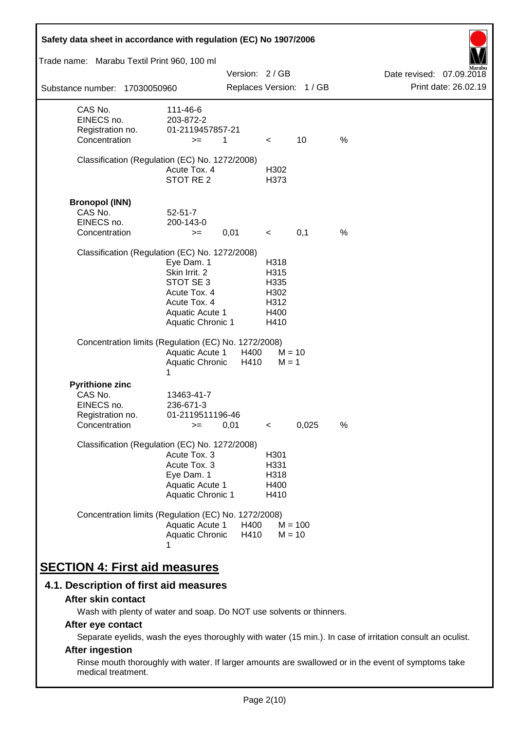| Safety data sheet in accordance with regulation (EC) No 1907/2006                    |                                                                                                                                |               |                                                      |                          |      |                                    |
|--------------------------------------------------------------------------------------|--------------------------------------------------------------------------------------------------------------------------------|---------------|------------------------------------------------------|--------------------------|------|------------------------------------|
| Trade name: Marabu Textil Print 960, 100 ml                                          |                                                                                                                                |               |                                                      |                          |      |                                    |
|                                                                                      |                                                                                                                                | Version: 2/GB |                                                      |                          |      | Marabu<br>Date revised: 07.09.2018 |
| Substance number: 17030050960                                                        |                                                                                                                                |               |                                                      | Replaces Version: 1 / GB |      | Print date: 26.02.19               |
| CAS No.<br>EINECS no.<br>Registration no.<br>Concentration                           | 111-46-6<br>203-872-2<br>01-2119457857-21<br>$>=$                                                                              | 1             | $\overline{\phantom{0}}$                             | 10                       | $\%$ |                                    |
| Classification (Regulation (EC) No. 1272/2008)                                       | Acute Tox. 4<br>STOT RE 2                                                                                                      |               | H302<br>H373                                         |                          |      |                                    |
| <b>Bronopol (INN)</b><br>CAS No.<br>EINECS no.<br>Concentration                      | $52 - 51 - 7$<br>200-143-0<br>$>=$                                                                                             | 0,01          | $\prec$                                              | 0,1                      | $\%$ |                                    |
| Classification (Regulation (EC) No. 1272/2008)                                       | Eye Dam. 1<br>Skin Irrit. 2<br>STOT SE 3<br>Acute Tox. 4<br>Acute Tox. 4<br><b>Aquatic Acute 1</b><br><b>Aquatic Chronic 1</b> |               | H318<br>H315<br>H335<br>H302<br>H312<br>H400<br>H410 |                          |      |                                    |
| Concentration limits (Regulation (EC) No. 1272/2008)                                 | <b>Aquatic Acute 1</b><br>Aquatic Chronic<br>1                                                                                 | H400<br>H410  | $M = 1$                                              | $M = 10$                 |      |                                    |
| <b>Pyrithione zinc</b><br>CAS No.<br>EINECS no.<br>Registration no.<br>Concentration | 13463-41-7<br>236-671-3<br>01-2119511196-46<br>$>=$                                                                            | 0,01          | $\,<\,$                                              | 0,025                    | %    |                                    |
| Classification (Regulation (EC) No. 1272/2008)                                       | Acute Tox. 3<br>Acute Tox. 3<br>Eye Dam. 1<br>Aquatic Acute 1<br>Aquatic Chronic 1                                             |               | H <sub>301</sub><br>H331<br>H318<br>H400<br>H410     |                          |      |                                    |
| Concentration limits (Regulation (EC) No. 1272/2008)                                 | Aquatic Acute 1<br>Aquatic Chronic                                                                                             | H400<br>H410  |                                                      | $M = 100$<br>$M = 10$    |      |                                    |
| <b>SECTION 4: First aid measures</b>                                                 |                                                                                                                                |               |                                                      |                          |      |                                    |

## **4.1. Description of first aid measures**

#### **After skin contact**

Wash with plenty of water and soap. Do NOT use solvents or thinners.

## **After eye contact**

Separate eyelids, wash the eyes thoroughly with water (15 min.). In case of irritation consult an oculist.

## **After ingestion**

Rinse mouth thoroughly with water. If larger amounts are swallowed or in the event of symptoms take medical treatment.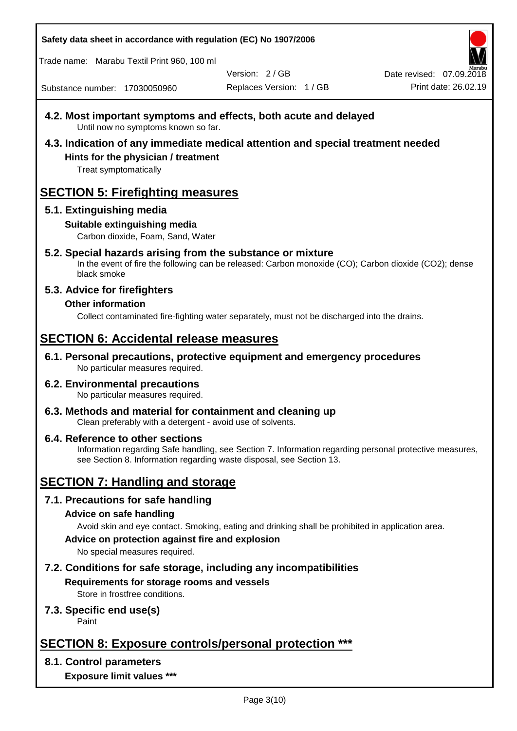Trade name: Marabu Textil Print 960, 100 ml

Version: 2 / GB

Replaces Version: 1 / GB Print date: 26.02.19 Date revised: 07.09.2018

Substance number: 17030050960

- **4.2. Most important symptoms and effects, both acute and delayed** Until now no symptoms known so far.
- **4.3. Indication of any immediate medical attention and special treatment needed Hints for the physician / treatment**

Treat symptomatically

# **SECTION 5: Firefighting measures**

## **5.1. Extinguishing media**

## **Suitable extinguishing media**

Carbon dioxide, Foam, Sand, Water

# **5.2. Special hazards arising from the substance or mixture**

In the event of fire the following can be released: Carbon monoxide (CO); Carbon dioxide (CO2); dense black smoke

## **5.3. Advice for firefighters**

## **Other information**

Collect contaminated fire-fighting water separately, must not be discharged into the drains.

# **SECTION 6: Accidental release measures**

**6.1. Personal precautions, protective equipment and emergency procedures** No particular measures required.

#### **6.2. Environmental precautions** No particular measures required.

**6.3. Methods and material for containment and cleaning up** Clean preferably with a detergent - avoid use of solvents.

#### **6.4. Reference to other sections** Information regarding Safe handling, see Section 7. Information regarding personal protective measures, see Section 8. Information regarding waste disposal, see Section 13.

# **SECTION 7: Handling and storage**

## **7.1. Precautions for safe handling**

## **Advice on safe handling**

Avoid skin and eye contact. Smoking, eating and drinking shall be prohibited in application area.

**Advice on protection against fire and explosion**

No special measures required.

## **7.2. Conditions for safe storage, including any incompatibilities Requirements for storage rooms and vessels**

Store in frostfree conditions.

## **7.3. Specific end use(s)**

Paint

# **SECTION 8: Exposure controls/personal protection \*\*\***

## **8.1. Control parameters**

**Exposure limit values \*\*\***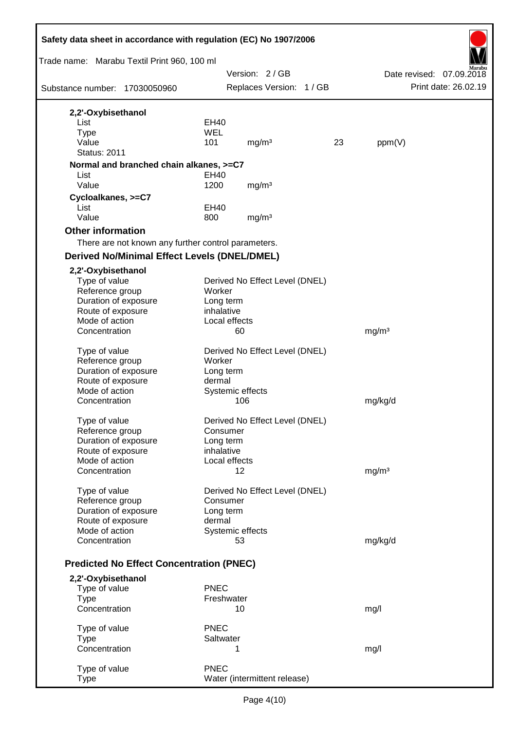| Safety data sheet in accordance with regulation (EC) No 1907/2006 |                         |                     |                                |    |                          |                      |
|-------------------------------------------------------------------|-------------------------|---------------------|--------------------------------|----|--------------------------|----------------------|
| Trade name: Marabu Textil Print 960, 100 ml                       |                         |                     |                                |    |                          |                      |
|                                                                   |                         | Version: 2/GB       |                                |    | Date revised: 07.09.2018 |                      |
| Substance number: 17030050960                                     |                         |                     | Replaces Version: 1 / GB       |    |                          | Print date: 26.02.19 |
| 2,2'-Oxybisethanol                                                |                         |                     |                                |    |                          |                      |
| List                                                              | EH40                    |                     |                                |    |                          |                      |
| <b>Type</b>                                                       | <b>WEL</b>              |                     |                                |    |                          |                      |
| Value                                                             | 101                     |                     | mg/m <sup>3</sup>              | 23 | ppm(V)                   |                      |
| <b>Status: 2011</b>                                               |                         |                     |                                |    |                          |                      |
| Normal and branched chain alkanes, >=C7                           |                         |                     |                                |    |                          |                      |
| List                                                              | EH40                    |                     |                                |    |                          |                      |
| Value                                                             | 1200                    |                     | mg/m <sup>3</sup>              |    |                          |                      |
| Cycloalkanes, >=C7                                                |                         |                     |                                |    |                          |                      |
| List<br>Value                                                     | EH40                    |                     |                                |    |                          |                      |
|                                                                   | 800                     |                     | mg/m <sup>3</sup>              |    |                          |                      |
| <b>Other information</b>                                          |                         |                     |                                |    |                          |                      |
| There are not known any further control parameters.               |                         |                     |                                |    |                          |                      |
| <b>Derived No/Minimal Effect Levels (DNEL/DMEL)</b>               |                         |                     |                                |    |                          |                      |
| 2,2'-Oxybisethanol                                                |                         |                     |                                |    |                          |                      |
| Type of value                                                     |                         |                     | Derived No Effect Level (DNEL) |    |                          |                      |
| Reference group                                                   | Worker                  |                     |                                |    |                          |                      |
| Duration of exposure<br>Route of exposure                         | Long term<br>inhalative |                     |                                |    |                          |                      |
| Mode of action                                                    |                         | Local effects       |                                |    |                          |                      |
| Concentration                                                     |                         | 60                  |                                |    | mg/m <sup>3</sup>        |                      |
|                                                                   |                         |                     |                                |    |                          |                      |
| Type of value                                                     |                         |                     | Derived No Effect Level (DNEL) |    |                          |                      |
| Reference group                                                   | Worker                  |                     |                                |    |                          |                      |
| Duration of exposure                                              | Long term               |                     |                                |    |                          |                      |
| Route of exposure<br>Mode of action                               | dermal                  | Systemic effects    |                                |    |                          |                      |
| Concentration                                                     |                         | 106                 |                                |    | mg/kg/d                  |                      |
|                                                                   |                         |                     |                                |    |                          |                      |
| Type of value                                                     |                         |                     | Derived No Effect Level (DNEL) |    |                          |                      |
| Reference group                                                   | Consumer                |                     |                                |    |                          |                      |
| Duration of exposure                                              | Long term               |                     |                                |    |                          |                      |
| Route of exposure                                                 | inhalative              |                     |                                |    |                          |                      |
| Mode of action<br>Concentration                                   |                         | Local effects<br>12 |                                |    | mg/m <sup>3</sup>        |                      |
|                                                                   |                         |                     |                                |    |                          |                      |
| Type of value                                                     |                         |                     | Derived No Effect Level (DNEL) |    |                          |                      |
| Reference group                                                   | Consumer                |                     |                                |    |                          |                      |
| Duration of exposure                                              | Long term               |                     |                                |    |                          |                      |
| Route of exposure                                                 | dermal                  |                     |                                |    |                          |                      |
| Mode of action                                                    |                         | Systemic effects    |                                |    |                          |                      |
| Concentration                                                     |                         | 53                  |                                |    | mg/kg/d                  |                      |
| <b>Predicted No Effect Concentration (PNEC)</b>                   |                         |                     |                                |    |                          |                      |
| 2,2'-Oxybisethanol                                                |                         |                     |                                |    |                          |                      |
| Type of value                                                     | <b>PNEC</b>             |                     |                                |    |                          |                      |
| <b>Type</b>                                                       |                         | Freshwater          |                                |    |                          |                      |
| Concentration                                                     |                         | 10                  |                                |    | mg/l                     |                      |
| Type of value                                                     | <b>PNEC</b>             |                     |                                |    |                          |                      |
| <b>Type</b>                                                       | Saltwater               |                     |                                |    |                          |                      |
| Concentration                                                     |                         | 1                   |                                |    | mg/l                     |                      |
|                                                                   |                         |                     |                                |    |                          |                      |
| Type of value                                                     | <b>PNEC</b>             |                     |                                |    |                          |                      |
| <b>Type</b>                                                       |                         |                     | Water (intermittent release)   |    |                          |                      |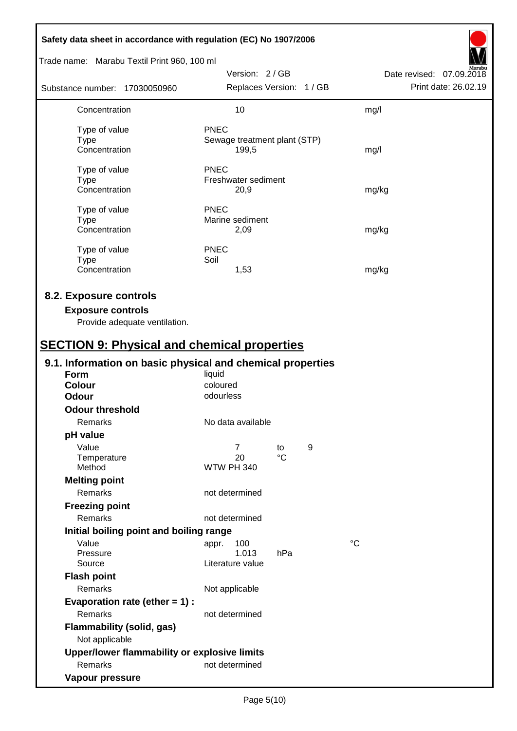| Safety data sheet in accordance with regulation (EC) No 1907/2006                                                                         |                                                                    |   |                                                  |  |  |
|-------------------------------------------------------------------------------------------------------------------------------------------|--------------------------------------------------------------------|---|--------------------------------------------------|--|--|
| Trade name: Marabu Textil Print 960, 100 ml                                                                                               |                                                                    |   |                                                  |  |  |
| Substance number: 17030050960                                                                                                             | Version: 2/GB<br>Replaces Version: 1 / GB                          |   | Date revised: 07.09.2018<br>Print date: 26.02.19 |  |  |
| Concentration                                                                                                                             | 10                                                                 |   | mg/l                                             |  |  |
| Type of value<br><b>Type</b><br>Concentration                                                                                             | PNEC<br>Sewage treatment plant (STP)<br>199,5                      |   | mg/l                                             |  |  |
| Type of value<br><b>Type</b><br>Concentration                                                                                             | <b>PNEC</b><br>Freshwater sediment<br>20,9                         |   | mg/kg                                            |  |  |
| Type of value<br><b>Type</b><br>Concentration                                                                                             | <b>PNEC</b><br>Marine sediment<br>2,09                             |   | mg/kg                                            |  |  |
| Type of value<br><b>Type</b><br>Concentration                                                                                             | <b>PNEC</b><br>Soil<br>1,53                                        |   | mg/kg                                            |  |  |
| 8.2. Exposure controls<br><b>Exposure controls</b><br>Provide adequate ventilation.<br><b>SECTION 9: Physical and chemical properties</b> |                                                                    |   |                                                  |  |  |
| 9.1. Information on basic physical and chemical properties                                                                                |                                                                    |   |                                                  |  |  |
| <b>Form</b><br><b>Colour</b><br><b>Odour</b>                                                                                              | liquid<br>coloured<br>odourless                                    |   |                                                  |  |  |
| <b>Odour threshold</b>                                                                                                                    |                                                                    |   |                                                  |  |  |
| Remarks                                                                                                                                   | No data available                                                  |   |                                                  |  |  |
| pH value<br>Value<br>Temperature<br>Method                                                                                                | $\overline{7}$<br>to<br>$\rm ^{\circ}C$<br>20<br><b>WTW PH 340</b> | 9 |                                                  |  |  |
| <b>Melting point</b><br>Remarks<br><b>Freezing point</b>                                                                                  | not determined                                                     |   |                                                  |  |  |
| Remarks                                                                                                                                   | not determined                                                     |   |                                                  |  |  |
| Initial boiling point and boiling range                                                                                                   |                                                                    |   |                                                  |  |  |
| Value<br>Pressure<br>Source                                                                                                               | 100<br>appr.<br>1.013<br>hPa<br>Literature value                   |   | $\rm ^{\circ}C$                                  |  |  |
| <b>Flash point</b><br>Remarks<br>Evaporation rate (ether $= 1$ ) :                                                                        | Not applicable                                                     |   |                                                  |  |  |
| Remarks<br>Flammability (solid, gas)                                                                                                      | not determined                                                     |   |                                                  |  |  |
| Not applicable<br>Upper/lower flammability or explosive limits                                                                            |                                                                    |   |                                                  |  |  |
| Remarks<br>Vapour pressure                                                                                                                | not determined                                                     |   |                                                  |  |  |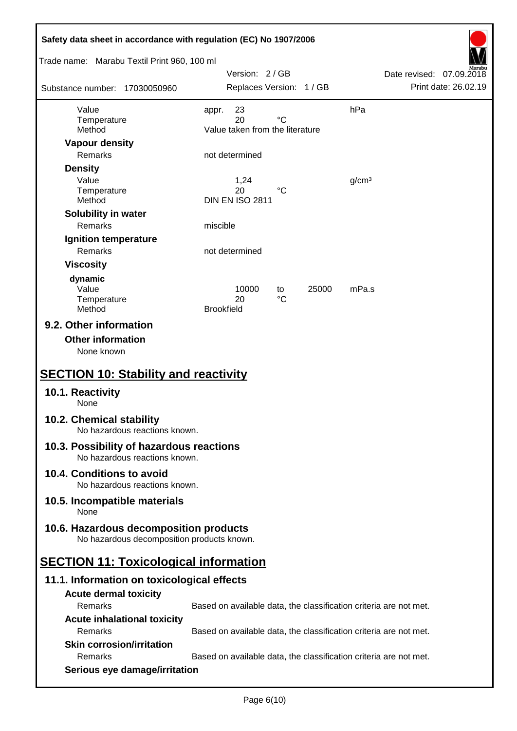| Safety data sheet in accordance with regulation (EC) No 1907/2006                    |                                                                   |                          |  |  |  |
|--------------------------------------------------------------------------------------|-------------------------------------------------------------------|--------------------------|--|--|--|
| Trade name: Marabu Textil Print 960, 100 ml                                          | Version: 2/GB                                                     | Date revised: 07.09.2018 |  |  |  |
| Substance number: 17030050960                                                        | Replaces Version: 1 / GB                                          | Print date: 26.02.19     |  |  |  |
| Value                                                                                | 23<br>appr.                                                       | hPa                      |  |  |  |
| Temperature<br>Method                                                                | $^{\circ}C$<br>20<br>Value taken from the literature              |                          |  |  |  |
| <b>Vapour density</b>                                                                |                                                                   |                          |  |  |  |
| Remarks                                                                              | not determined                                                    |                          |  |  |  |
| <b>Density</b>                                                                       |                                                                   |                          |  |  |  |
| Value                                                                                | 1,24<br>20<br>°C                                                  | g/cm <sup>3</sup>        |  |  |  |
| Temperature<br>Method                                                                | <b>DIN EN ISO 2811</b>                                            |                          |  |  |  |
| Solubility in water                                                                  |                                                                   |                          |  |  |  |
| Remarks                                                                              | miscible                                                          |                          |  |  |  |
| Ignition temperature                                                                 |                                                                   |                          |  |  |  |
| Remarks                                                                              | not determined                                                    |                          |  |  |  |
| <b>Viscosity</b>                                                                     |                                                                   |                          |  |  |  |
| dynamic                                                                              |                                                                   |                          |  |  |  |
| Value<br>Temperature                                                                 | 10000<br>25000<br>to<br>$^{\circ}C$<br>20                         | mPa.s                    |  |  |  |
| Method                                                                               | <b>Brookfield</b>                                                 |                          |  |  |  |
| 9.2. Other information<br><b>Other information</b><br>None known                     |                                                                   |                          |  |  |  |
| <b>SECTION 10: Stability and reactivity</b>                                          |                                                                   |                          |  |  |  |
| 10.1. Reactivity<br>None                                                             |                                                                   |                          |  |  |  |
| 10.2. Chemical stability<br>No hazardous reactions known.                            |                                                                   |                          |  |  |  |
| 10.3. Possibility of hazardous reactions<br>No hazardous reactions known.            |                                                                   |                          |  |  |  |
| 10.4. Conditions to avoid<br>No hazardous reactions known.                           |                                                                   |                          |  |  |  |
| 10.5. Incompatible materials<br>None                                                 |                                                                   |                          |  |  |  |
| 10.6. Hazardous decomposition products<br>No hazardous decomposition products known. |                                                                   |                          |  |  |  |
| <b>SECTION 11: Toxicological information</b>                                         |                                                                   |                          |  |  |  |
| 11.1. Information on toxicological effects                                           |                                                                   |                          |  |  |  |
| <b>Acute dermal toxicity</b>                                                         |                                                                   |                          |  |  |  |
| Remarks                                                                              | Based on available data, the classification criteria are not met. |                          |  |  |  |
| <b>Acute inhalational toxicity</b>                                                   |                                                                   |                          |  |  |  |
| Remarks                                                                              | Based on available data, the classification criteria are not met. |                          |  |  |  |
| <b>Skin corrosion/irritation</b>                                                     |                                                                   |                          |  |  |  |
| Remarks                                                                              | Based on available data, the classification criteria are not met. |                          |  |  |  |
| Serious eye damage/irritation                                                        |                                                                   |                          |  |  |  |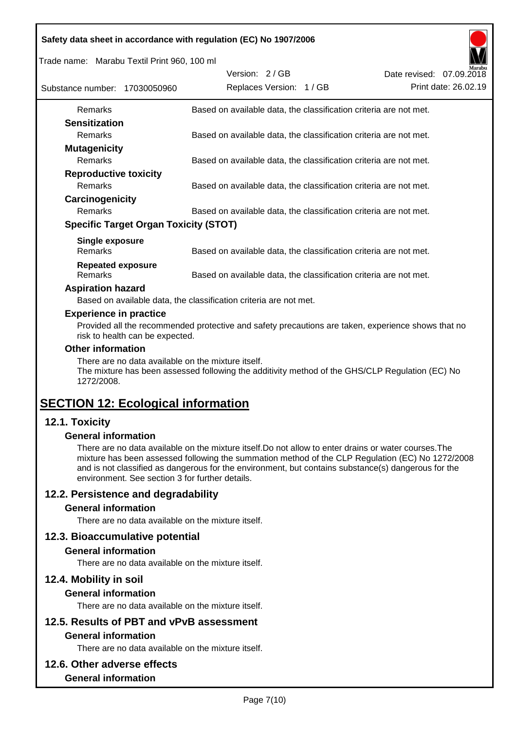|  | Safety data sheet in accordance with regulation (EC) No 1907/2006 |  |
|--|-------------------------------------------------------------------|--|
|  |                                                                   |  |

Trade name: Marabu Textil Print 960, 100 ml

| Substance number: 17030050960 |                                              | Version: 2/GB | Replaces Version: 1 / GB |                                                                   | Date revised: 07.09.2018 | Marabu<br>Print date: 26.02.19 |
|-------------------------------|----------------------------------------------|---------------|--------------------------|-------------------------------------------------------------------|--------------------------|--------------------------------|
| <b>Remarks</b>                |                                              |               |                          | Based on available data, the classification criteria are not met. |                          |                                |
| <b>Sensitization</b>          |                                              |               |                          |                                                                   |                          |                                |
| <b>Remarks</b>                |                                              |               |                          | Based on available data, the classification criteria are not met. |                          |                                |
| <b>Mutagenicity</b>           |                                              |               |                          |                                                                   |                          |                                |
| <b>Remarks</b>                |                                              |               |                          | Based on available data, the classification criteria are not met. |                          |                                |
| <b>Reproductive toxicity</b>  |                                              |               |                          |                                                                   |                          |                                |
| <b>Remarks</b>                |                                              |               |                          | Based on available data, the classification criteria are not met. |                          |                                |
| Carcinogenicity               |                                              |               |                          |                                                                   |                          |                                |
| <b>Remarks</b>                |                                              |               |                          | Based on available data, the classification criteria are not met. |                          |                                |
|                               | <b>Specific Target Organ Toxicity (STOT)</b> |               |                          |                                                                   |                          |                                |
| <b>Single exposure</b>        |                                              |               |                          |                                                                   |                          |                                |
| <b>Remarks</b>                |                                              |               |                          | Based on available data, the classification criteria are not met. |                          |                                |
| <b>Repeated exposure</b>      |                                              |               |                          |                                                                   |                          |                                |
| <b>Remarks</b>                |                                              |               |                          | Based on available data, the classification criteria are not met. |                          |                                |

#### **Aspiration hazard**

Based on available data, the classification criteria are not met.

#### **Experience in practice**

Provided all the recommended protective and safety precautions are taken, experience shows that no risk to health can be expected.

#### **Other information**

There are no data available on the mixture itself.

The mixture has been assessed following the additivity method of the GHS/CLP Regulation (EC) No 1272/2008.

# **SECTION 12: Ecological information**

## **12.1. Toxicity**

#### **General information**

There are no data available on the mixture itself.Do not allow to enter drains or water courses.The mixture has been assessed following the summation method of the CLP Regulation (EC) No 1272/2008 and is not classified as dangerous for the environment, but contains substance(s) dangerous for the environment. See section 3 for further details.

## **12.2. Persistence and degradability**

#### **General information**

There are no data available on the mixture itself.

#### **12.3. Bioaccumulative potential**

#### **General information**

There are no data available on the mixture itself.

#### **12.4. Mobility in soil**

#### **General information**

There are no data available on the mixture itself.

# **12.5. Results of PBT and vPvB assessment**

## **General information**

There are no data available on the mixture itself.

#### **12.6. Other adverse effects**

#### **General information**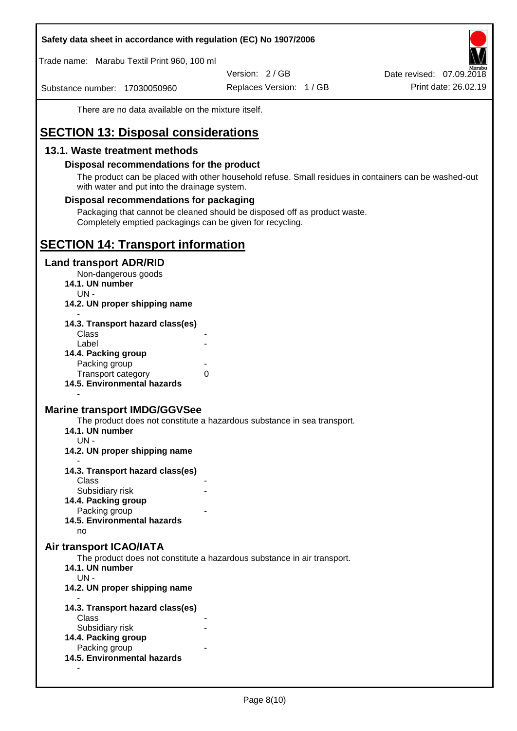Trade name: Marabu Textil Print 960, 100 ml

Version: 2 / GB

Substance number: 17030050960

Replaces Version: 1 / GB Print date: 26.02.19 Date revised: 07.09.2018

There are no data available on the mixture itself.

# **SECTION 13: Disposal considerations**

## **13.1. Waste treatment methods**

#### **Disposal recommendations for the product**

The product can be placed with other household refuse. Small residues in containers can be washed-out with water and put into the drainage system.

#### **Disposal recommendations for packaging**

Packaging that cannot be cleaned should be disposed off as product waste. Completely emptied packagings can be given for recycling.

## **SECTION 14: Transport information**

#### **Land transport ADR/RID**

Non-dangerous goods

- **14.1. UN number**
	- UN -
- **14.2. UN proper shipping name**

| 14.3. Transport hazard class(es) |   |
|----------------------------------|---|
| Class                            |   |
| Label                            |   |
| 14.4. Packing group              |   |
| Packing group                    |   |
| <b>Transport category</b>        | 0 |
| 14.5. Environmental hazards      |   |

## **Marine transport IMDG/GGVSee**

The product does not constitute a hazardous substance in sea transport.

- **14.1. UN number**
	- UN -

-

- **14.2. UN proper shipping name**
- **14.3. Transport hazard class(es) Class** 
	- Subsidiary risk
- **14.4. Packing group**
	- Packing group
- **14.5. Environmental hazards**

no

#### **Air transport ICAO/IATA**

The product does not constitute a hazardous substance in air transport.

- **14.1. UN number**
- UN -

-

- **14.2. UN proper shipping name**
- **14.3. Transport hazard class(es)** Class Subsidiary risk **14.4. Packing group** Packing group **14.5. Environmental hazards**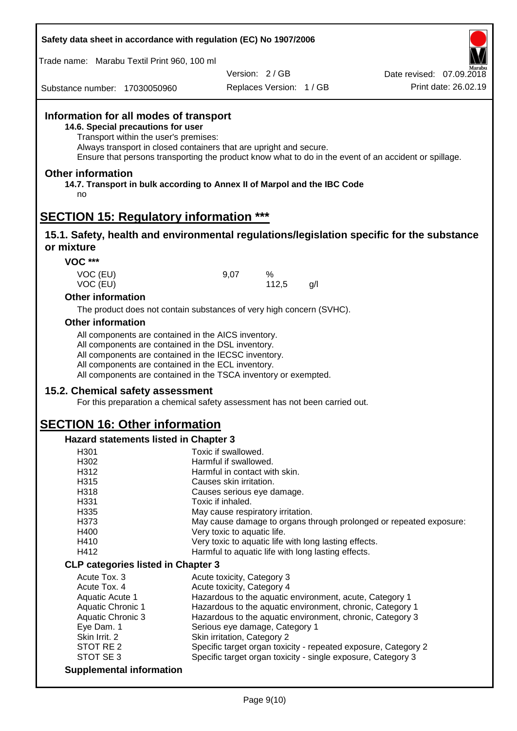| Trade name: Marabu Textil Print 960, 100 ml                                                                |                                                                                                                                                                                                                                                                                            |                                                       |            |     |                                                                                                       |
|------------------------------------------------------------------------------------------------------------|--------------------------------------------------------------------------------------------------------------------------------------------------------------------------------------------------------------------------------------------------------------------------------------------|-------------------------------------------------------|------------|-----|-------------------------------------------------------------------------------------------------------|
|                                                                                                            |                                                                                                                                                                                                                                                                                            | Version: 2/GB                                         |            |     | Date revised: 07.09.2018                                                                              |
| Substance number: 17030050960                                                                              |                                                                                                                                                                                                                                                                                            | Replaces Version: 1 / GB                              |            |     | Print date: 26.02.19                                                                                  |
| Information for all modes of transport<br>14.6. Special precautions for user                               | Transport within the user's premises:<br>Always transport in closed containers that are upright and secure.                                                                                                                                                                                |                                                       |            |     | Ensure that persons transporting the product know what to do in the event of an accident or spillage. |
| <b>Other information</b><br>14.7. Transport in bulk according to Annex II of Marpol and the IBC Code<br>no |                                                                                                                                                                                                                                                                                            |                                                       |            |     |                                                                                                       |
| <b>SECTION 15: Regulatory information ***</b>                                                              |                                                                                                                                                                                                                                                                                            |                                                       |            |     |                                                                                                       |
| or mixture                                                                                                 |                                                                                                                                                                                                                                                                                            |                                                       |            |     | 15.1. Safety, health and environmental regulations/legislation specific for the substance             |
| <b>VOC ***</b>                                                                                             |                                                                                                                                                                                                                                                                                            |                                                       |            |     |                                                                                                       |
| VOC (EU)<br>VOC (EU)                                                                                       |                                                                                                                                                                                                                                                                                            | 9,07                                                  | %<br>112,5 | g/l |                                                                                                       |
| <b>Other information</b>                                                                                   |                                                                                                                                                                                                                                                                                            |                                                       |            |     |                                                                                                       |
|                                                                                                            | The product does not contain substances of very high concern (SVHC).                                                                                                                                                                                                                       |                                                       |            |     |                                                                                                       |
| <b>Other information</b>                                                                                   |                                                                                                                                                                                                                                                                                            |                                                       |            |     |                                                                                                       |
|                                                                                                            | All components are contained in the AICS inventory.<br>All components are contained in the DSL inventory.<br>All components are contained in the IECSC inventory.<br>All components are contained in the ECL inventory.<br>All components are contained in the TSCA inventory or exempted. |                                                       |            |     |                                                                                                       |
| 15.2. Chemical safety assessment                                                                           |                                                                                                                                                                                                                                                                                            |                                                       |            |     |                                                                                                       |
|                                                                                                            | For this preparation a chemical safety assessment has not been carried out.                                                                                                                                                                                                                |                                                       |            |     |                                                                                                       |
| <b>SECTION 16: Other information</b>                                                                       |                                                                                                                                                                                                                                                                                            |                                                       |            |     |                                                                                                       |
|                                                                                                            |                                                                                                                                                                                                                                                                                            |                                                       |            |     |                                                                                                       |
| <b>Hazard statements listed in Chapter 3</b>                                                               |                                                                                                                                                                                                                                                                                            |                                                       |            |     |                                                                                                       |
| H301<br>H302                                                                                               |                                                                                                                                                                                                                                                                                            | Toxic if swallowed.<br>Harmful if swallowed.          |            |     |                                                                                                       |
| H312                                                                                                       |                                                                                                                                                                                                                                                                                            | Harmful in contact with skin.                         |            |     |                                                                                                       |
| H315                                                                                                       |                                                                                                                                                                                                                                                                                            | Causes skin irritation.                               |            |     |                                                                                                       |
| H318                                                                                                       |                                                                                                                                                                                                                                                                                            | Causes serious eye damage.                            |            |     |                                                                                                       |
| H331                                                                                                       |                                                                                                                                                                                                                                                                                            | Toxic if inhaled.                                     |            |     |                                                                                                       |
| H335<br>H373                                                                                               |                                                                                                                                                                                                                                                                                            | May cause respiratory irritation.                     |            |     |                                                                                                       |
| H400                                                                                                       |                                                                                                                                                                                                                                                                                            | Very toxic to aquatic life.                           |            |     | May cause damage to organs through prolonged or repeated exposure:                                    |
| H410                                                                                                       |                                                                                                                                                                                                                                                                                            | Very toxic to aquatic life with long lasting effects. |            |     |                                                                                                       |
| H412                                                                                                       |                                                                                                                                                                                                                                                                                            | Harmful to aquatic life with long lasting effects.    |            |     |                                                                                                       |
| <b>CLP categories listed in Chapter 3</b>                                                                  |                                                                                                                                                                                                                                                                                            |                                                       |            |     |                                                                                                       |
| Acute Tox. 3                                                                                               |                                                                                                                                                                                                                                                                                            | Acute toxicity, Category 3                            |            |     |                                                                                                       |
| Acute Tox. 4                                                                                               |                                                                                                                                                                                                                                                                                            | Acute toxicity, Category 4                            |            |     |                                                                                                       |
| Aquatic Acute 1                                                                                            |                                                                                                                                                                                                                                                                                            |                                                       |            |     | Hazardous to the aquatic environment, acute, Category 1                                               |
| <b>Aquatic Chronic 1</b>                                                                                   |                                                                                                                                                                                                                                                                                            |                                                       |            |     | Hazardous to the aquatic environment, chronic, Category 1                                             |
| <b>Aquatic Chronic 3</b><br>Eye Dam. 1                                                                     |                                                                                                                                                                                                                                                                                            | Serious eye damage, Category 1                        |            |     | Hazardous to the aquatic environment, chronic, Category 3                                             |
| Skin Irrit. 2                                                                                              |                                                                                                                                                                                                                                                                                            | Skin irritation, Category 2                           |            |     |                                                                                                       |
| STOT RE <sub>2</sub>                                                                                       |                                                                                                                                                                                                                                                                                            |                                                       |            |     | Specific target organ toxicity - repeated exposure, Category 2                                        |
| STOT SE 3                                                                                                  |                                                                                                                                                                                                                                                                                            |                                                       |            |     | Specific target organ toxicity - single exposure, Category 3                                          |
| <b>Supplemental information</b>                                                                            |                                                                                                                                                                                                                                                                                            |                                                       |            |     |                                                                                                       |